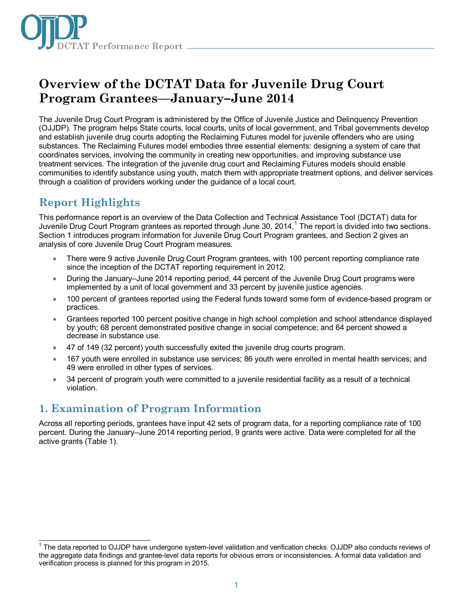

# **Overview of the DCTAT Data for Juvenile Drug Court Program Grantees—January–June 2014**

The Juvenile Drug Court Program is administered by the Office of Juvenile Justice and Delinquency Prevention (OJJDP). The program helps State courts, local courts, units of local government, and Tribal governments develop and establish juvenile drug courts adopting the Reclaiming Futures model for juvenile offenders who are using substances. The Reclaiming Futures model embodies three essential elements: designing a system of care that coordinates services, involving the community in creating new opportunities, and improving substance use treatment services. The integration of the juvenile drug court and Reclaiming Futures models should enable communities to identify substance using youth, match them with appropriate treatment options, and deliver services through a coalition of providers working under the guidance of a local court.

## **Report Highlights**

This performance report is an overview of the Data Collection and Technical Assistance Tool (DCTAT) data for Juvenile Drug Court Program grantees as reported through June 30, 20[1](#page-0-0)4.<sup>1</sup> The report is divided into two sections. Section 1 introduces program information for Juvenile Drug Court Program grantees, and Section 2 gives an analysis of core Juvenile Drug Court Program measures.

- There were 9 active Juvenile Drug Court Program grantees, with 100 percent reporting compliance rate since the inception of the DCTAT reporting requirement in 2012.
- During the January–June 2014 reporting period, 44 percent of the Juvenile Drug Court programs were implemented by a unit of local government and 33 percent by juvenile justice agencies.
- 100 percent of grantees reported using the Federal funds toward some form of evidence-based program or practices.
- Grantees reported 100 percent positive change in high school completion and school attendance displayed by youth; 68 percent demonstrated positive change in social competence; and 64 percent showed a decrease in substance use.
- 47 of 149 (32 percent) youth successfully exited the juvenile drug courts program.
- 167 youth were enrolled in substance use services; 86 youth were enrolled in mental health services; and 49 were enrolled in other types of services.
- 34 percent of program youth were committed to a juvenile residential facility as a result of a technical violation.

### **1. Examination of Program Information**

Across all reporting periods, grantees have input 42 sets of program data, for a reporting compliance rate of 100 percent. During the January–June 2014 reporting period, 9 grants were active. Data were completed for all the active grants (Table 1).

<span id="page-0-0"></span> $\overline{\phantom{a}}$ <sup>1</sup> The data reported to OJJDP have undergone system-level validation and verification checks. OJJDP also conducts reviews of the aggregate data findings and grantee-level data reports for obvious errors or inconsistencies. A formal data validation and verification process is planned for this program in 2015.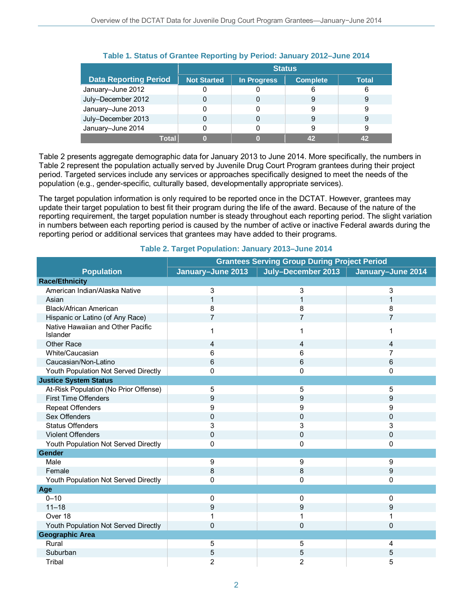|                              | <b>Status</b>      |             |                 |       |
|------------------------------|--------------------|-------------|-----------------|-------|
| <b>Data Reporting Period</b> | <b>Not Started</b> | In Progress | <b>Complete</b> | Total |
| January-June 2012            |                    |             | 6               | 6     |
| July-December 2012           |                    | 0           | 9               | 9     |
| January-June 2013            |                    |             | 9               |       |
| July-December 2013           |                    | 0           | 9               | 9     |
| January-June 2014            |                    |             |                 | 9     |
| Total                        |                    |             |                 | 42    |

### **Table 1. Status of Grantee Reporting by Period: January 2012–June 2014**

Table 2 presents aggregate demographic data for January 2013 to June 2014. More specifically, the numbers in Table 2 represent the population actually served by Juvenile Drug Court Program grantees during their project period. Targeted services include any services or approaches specifically designed to meet the needs of the population (e.g., gender-specific, culturally based, developmentally appropriate services).

The target population information is only required to be reported once in the DCTAT. However, grantees may update their target population to best fit their program during the life of the award. Because of the nature of the reporting requirement, the target population number is steady throughout each reporting period. The slight variation in numbers between each reporting period is caused by the number of active or inactive Federal awards during the reporting period or additional services that grantees may have added to their programs.

|                                               | <b>Grantees Serving Group During Project Period</b> |                    |                   |  |
|-----------------------------------------------|-----------------------------------------------------|--------------------|-------------------|--|
| <b>Population</b>                             | January-June 2013                                   | July-December 2013 | January-June 2014 |  |
| <b>Race/Ethnicity</b>                         |                                                     |                    |                   |  |
| American Indian/Alaska Native                 | 3                                                   | 3                  | 3                 |  |
| Asian                                         | 1                                                   | 1                  | 1                 |  |
| Black/African American                        | 8                                                   | 8                  | 8                 |  |
| Hispanic or Latino (of Any Race)              | $\overline{7}$                                      | $\overline{7}$     | $\overline{7}$    |  |
| Native Hawaiian and Other Pacific<br>Islander |                                                     | 1                  | 1                 |  |
| Other Race                                    | 4                                                   | 4                  | 4                 |  |
| White/Caucasian                               | 6                                                   | 6                  | 7                 |  |
| Caucasian/Non-Latino                          | 6                                                   | 6                  | 6                 |  |
| Youth Population Not Served Directly          | 0                                                   | 0                  | 0                 |  |
| <b>Justice System Status</b>                  |                                                     |                    |                   |  |
| At-Risk Population (No Prior Offense)         | 5                                                   | 5                  | 5                 |  |
| <b>First Time Offenders</b>                   | 9                                                   | 9                  | 9                 |  |
| <b>Repeat Offenders</b>                       | 9                                                   | 9                  | 9                 |  |
| Sex Offenders                                 | 0                                                   | 0                  | 0                 |  |
| <b>Status Offenders</b>                       | 3                                                   | 3                  | 3                 |  |
| <b>Violent Offenders</b>                      | 0                                                   | 0                  | $\mathbf 0$       |  |
| Youth Population Not Served Directly          | 0                                                   | 0                  | 0                 |  |
| <b>Gender</b>                                 |                                                     |                    |                   |  |
| Male                                          | 9                                                   | 9                  | 9                 |  |
| Female                                        | 8                                                   | 8                  | 9                 |  |
| Youth Population Not Served Directly          | 0                                                   | 0                  | 0                 |  |
| Age                                           |                                                     |                    |                   |  |
| $0 - 10$                                      | 0                                                   | 0                  | 0                 |  |
| $11 - 18$                                     | 9                                                   | 9                  | 9                 |  |
| Over 18                                       |                                                     | 1                  | 1                 |  |
| Youth Population Not Served Directly          | $\Omega$                                            | 0                  | $\mathbf 0$       |  |
| <b>Geographic Area</b>                        |                                                     |                    |                   |  |
| Rural                                         | 5                                                   | 5                  | 4                 |  |
| Suburban                                      | 5                                                   | 5                  | 5                 |  |
| Tribal                                        | 2                                                   | 2                  | 5                 |  |

#### **Table 2. Target Population: January 2013–June 2014**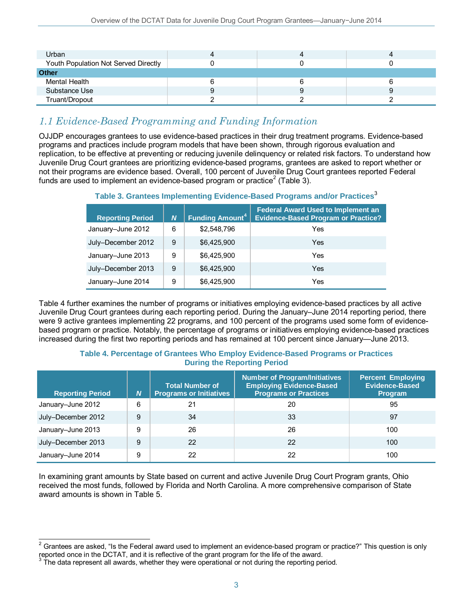| Urban                                |   |  |
|--------------------------------------|---|--|
| Youth Population Not Served Directly |   |  |
| Other                                |   |  |
| Mental Health                        |   |  |
| Substance Use                        | У |  |
| Truant/Dropout                       |   |  |

### *1.1 Evidence-Based Programming and Funding Information*

OJJDP encourages grantees to use evidence-based practices in their drug treatment programs. Evidence-based programs and practices include program models that have been shown, through rigorous evaluation and replication, to be effective at preventing or reducing juvenile delinquency or related risk factors. To understand how Juvenile Drug Court grantees are prioritizing evidence-based programs, grantees are asked to report whether or not their programs are evidence based. Overall, 100 percent of Juvenile Drug Court grantees reported Federal funds are used to implement an evidence-based program or practice<sup>[2](#page-2-0)</sup> (Table 3).

**Table 3. Grantees Implementing Evidence-Based Programs and/or Practices**[3](#page-2-1)

| <b>Reporting Period</b> | N | <b>Funding Amount<sup>4</sup></b> | <b>Federal Award Used to Implement an</b><br><b>Evidence-Based Program or Practice?</b> |
|-------------------------|---|-----------------------------------|-----------------------------------------------------------------------------------------|
| January-June 2012       | 6 | \$2,548,796                       | Yes                                                                                     |
| July-December 2012      | 9 | \$6.425,900                       | Yes                                                                                     |
| January-June 2013       | 9 | \$6.425,900                       | Yes                                                                                     |
| July-December 2013      | 9 | \$6,425,900                       | Yes                                                                                     |
| January-June 2014       | 9 | \$6,425,900                       | Yes                                                                                     |

Table 4 further examines the number of programs or initiatives employing evidence-based practices by all active Juvenile Drug Court grantees during each reporting period. During the January–June 2014 reporting period, there were 9 active grantees implementing 22 programs, and 100 percent of the programs used some form of evidencebased program or practice. Notably, the percentage of programs or initiatives employing evidence-based practices increased during the first two reporting periods and has remained at 100 percent since January—June 2013.

#### **Table 4. Percentage of Grantees Who Employ Evidence-Based Programs or Practices During the Reporting Period**

| <b>Reporting Period</b> | N | <b>Total Number of</b><br><b>Programs or Initiatives</b> | <b>Number of Program/Initiatives</b><br><b>Employing Evidence-Based</b><br><b>Programs or Practices</b> | <b>Percent Employing</b><br><b>Evidence-Based</b><br><b>Program</b> |
|-------------------------|---|----------------------------------------------------------|---------------------------------------------------------------------------------------------------------|---------------------------------------------------------------------|
| January-June 2012       | 6 | 21                                                       | 20                                                                                                      | 95                                                                  |
| July-December 2012      | 9 | 34                                                       | 33                                                                                                      | 97                                                                  |
| January-June 2013       | 9 | 26                                                       | 26                                                                                                      | 100                                                                 |
| July-December 2013      | 9 | 22                                                       | 22                                                                                                      | 100                                                                 |
| January-June 2014       | 9 | 22                                                       | 22                                                                                                      | 100                                                                 |

In examining grant amounts by State based on current and active Juvenile Drug Court Program grants, Ohio received the most funds, followed by Florida and North Carolina. A more comprehensive comparison of State award amounts is shown in Table 5.

<span id="page-2-0"></span> $\overline{\phantom{a}}$ <sup>2</sup> Grantees are asked, "Is the Federal award used to implement an evidence-based program or practice?" This question is only reported once in the DCTAT, and it is reflective of the grant program for the life of the award.

<span id="page-2-2"></span><span id="page-2-1"></span> $3$  The data represent all awards, whether they were operational or not during the reporting period.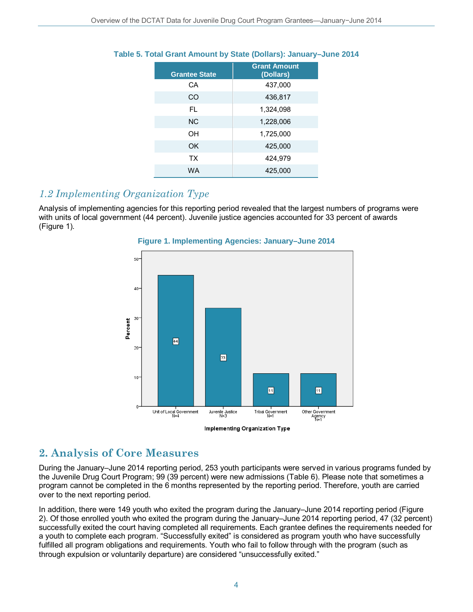| <b>Grantee State</b> | <b>Grant Amount</b><br>(Dollars) |
|----------------------|----------------------------------|
| СA                   | 437,000                          |
| CO                   | 436,817                          |
| FL.                  | 1,324,098                        |
| NC.                  | 1,228,006                        |
| OН                   | 1,725,000                        |
| OK                   | 425,000                          |
| ТX                   | 424,979                          |
| WA                   | 425,000                          |

### **Table 5. Total Grant Amount by State (Dollars): January–June 2014**

### *1.2 Implementing Organization Type*

Analysis of implementing agencies for this reporting period revealed that the largest numbers of programs were with units of local government (44 percent). Juvenile justice agencies accounted for 33 percent of awards (Figure 1).



### **Figure 1. Implementing Agencies: January–June 2014**

Implementing Organization Type

### **2. Analysis of Core Measures**

During the January–June 2014 reporting period, 253 youth participants were served in various programs funded by the Juvenile Drug Court Program; 99 (39 percent) were new admissions (Table 6). Please note that sometimes a program cannot be completed in the 6 months represented by the reporting period. Therefore, youth are carried over to the next reporting period.

In addition, there were 149 youth who exited the program during the January–June 2014 reporting period (Figure 2). Of those enrolled youth who exited the program during the January–June 2014 reporting period, 47 (32 percent) successfully exited the court having completed all requirements. Each grantee defines the requirements needed for a youth to complete each program. "Successfully exited" is considered as program youth who have successfully fulfilled all program obligations and requirements. Youth who fail to follow through with the program (such as through expulsion or voluntarily departure) are considered "unsuccessfully exited."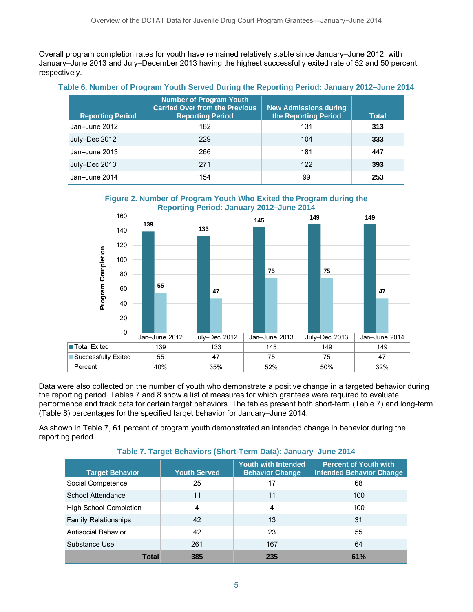Overall program completion rates for youth have remained relatively stable since January–June 2012, with January–June 2013 and July–December 2013 having the highest successfully exited rate of 52 and 50 percent, respectively.

### **Table 6. Number of Program Youth Served During the Reporting Period: January 2012–June 2014**

| <b>Reporting Period</b> | <b>Number of Program Youth</b><br><b>Carried Over from the Previous</b><br><b>Reporting Period</b> | <b>New Admissions during</b><br>the Reporting Period | <b>Total</b> |
|-------------------------|----------------------------------------------------------------------------------------------------|------------------------------------------------------|--------------|
| Jan-June 2012           | 182                                                                                                | 131                                                  | 313          |
| July-Dec 2012           | 229                                                                                                | 104                                                  | 333          |
| Jan-June 2013           | 266                                                                                                | 181                                                  | 447          |
| July-Dec 2013           | 271                                                                                                | 122                                                  | 393          |
| Jan-June 2014           | 154                                                                                                | 99                                                   | 253          |

#### **Figure 2. Number of Program Youth Who Exited the Program during the Reporting Period: January 2012–June 2014**



Data were also collected on the number of youth who demonstrate a positive change in a targeted behavior during the reporting period. Tables 7 and 8 show a list of measures for which grantees were required to evaluate performance and track data for certain target behaviors. The tables present both short-term (Table 7) and long-term (Table 8) percentages for the specified target behavior for January–June 2014.

As shown in Table 7, 61 percent of program youth demonstrated an intended change in behavior during the reporting period.

#### **Target Behavior Youth Served Youth with Intended Behavior Change Percent of Youth with Intended Behavior Change** Social Competence 25 17 17 68 School Attendance 11 11 11 11 100 High School Completion  $\begin{array}{cccc} | & 4 & | & 4 \end{array}$  (100

### **Table 7. Target Behaviors (Short-Term Data): January–June 2014**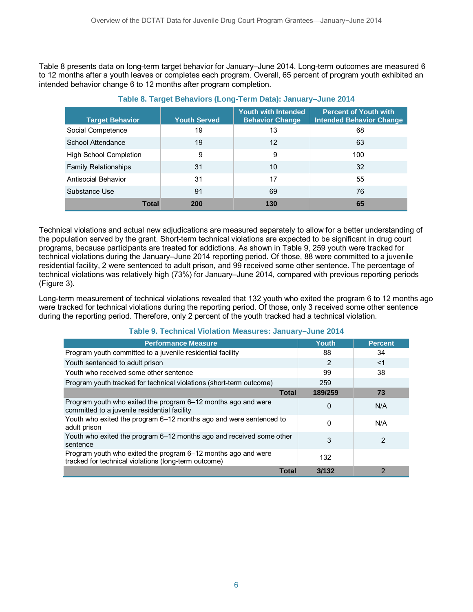Table 8 presents data on long-term target behavior for January–June 2014. Long-term outcomes are measured 6 to 12 months after a youth leaves or completes each program. Overall, 65 percent of program youth exhibited an intended behavior change 6 to 12 months after program completion.

| <b>Target Behavior</b>        | <b>Youth Served</b> | <b>Youth with Intended</b><br><b>Behavior Change</b> | <b>Percent of Youth with</b><br><b>Intended Behavior Change</b> |
|-------------------------------|---------------------|------------------------------------------------------|-----------------------------------------------------------------|
| Social Competence             | 19                  | 13                                                   | 68                                                              |
| School Attendance             | 19                  | 12                                                   | 63                                                              |
| <b>High School Completion</b> | 9                   | 9                                                    | 100                                                             |
| <b>Family Relationships</b>   | 31                  | 10                                                   | 32                                                              |
| Antisocial Behavior           | 31                  | 17                                                   | 55                                                              |
| Substance Use                 | 91                  | 69                                                   | 76                                                              |
| <b>Total</b>                  | 200                 | 130                                                  | 65                                                              |

### **Table 8. Target Behaviors (Long-Term Data): January–June 2014**

Technical violations and actual new adjudications are measured separately to allow for a better understanding of the population served by the grant. Short-term technical violations are expected to be significant in drug court programs, because participants are treated for addictions. As shown in Table 9, 259 youth were tracked for technical violations during the January–June 2014 reporting period. Of those, 88 were committed to a juvenile residential facility, 2 were sentenced to adult prison, and 99 received some other sentence. The percentage of technical violations was relatively high (73%) for January–June 2014, compared with previous reporting periods (Figure 3).

Long-term measurement of technical violations revealed that 132 youth who exited the program 6 to 12 months ago were tracked for technical violations during the reporting period. Of those, only 3 received some other sentence during the reporting period. Therefore, only 2 percent of the youth tracked had a technical violation.

| <b>Performance Measure</b>                                                                                            | Youth    | <b>Percent</b> |
|-----------------------------------------------------------------------------------------------------------------------|----------|----------------|
| Program youth committed to a juvenile residential facility                                                            | 88       | 34             |
| Youth sentenced to adult prison                                                                                       | 2        | $<$ 1          |
| Youth who received some other sentence                                                                                | 99       | 38             |
| Program youth tracked for technical violations (short-term outcome)                                                   | 259      |                |
| <b>Total</b>                                                                                                          | 189/259  | 73             |
| Program youth who exited the program 6–12 months ago and were<br>committed to a juvenile residential facility         | 0        | N/A            |
| Youth who exited the program 6-12 months ago and were sentenced to<br>adult prison                                    | $\Omega$ | N/A            |
| Youth who exited the program 6–12 months ago and received some other<br>sentence                                      | 3        | 2              |
| Program youth who exited the program 6–12 months ago and were<br>tracked for technical violations (long-term outcome) | 132      |                |
| <b>Total</b>                                                                                                          | 3/132    | 2              |

#### **Table 9. Technical Violation Measures: January–June 2014**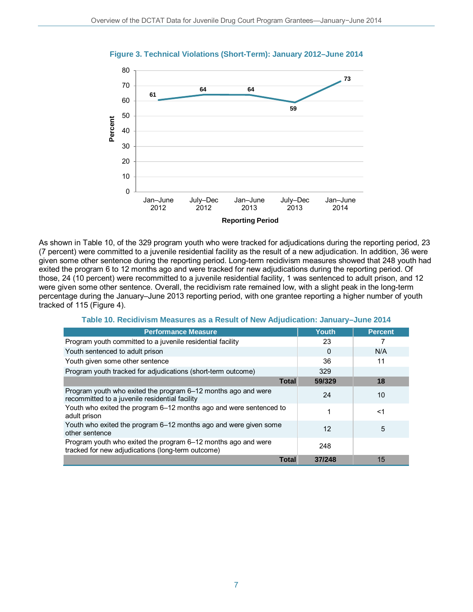

**Figure 3. Technical Violations (Short-Term): January 2012–June 2014**

As shown in Table 10, of the 329 program youth who were tracked for adjudications during the reporting period, 23 (7 percent) were committed to a juvenile residential facility as the result of a new adjudication. In addition, 36 were given some other sentence during the reporting period. Long-term recidivism measures showed that 248 youth had exited the program 6 to 12 months ago and were tracked for new adjudications during the reporting period. Of those, 24 (10 percent) were recommitted to a juvenile residential facility, 1 was sentenced to adult prison, and 12 were given some other sentence. Overall, the recidivism rate remained low, with a slight peak in the long-term percentage during the January–June 2013 reporting period, with one grantee reporting a higher number of youth tracked of 115 (Figure 4).

| <b>Performance Measure</b>                                                                                         | Youth. | <b>Percent</b> |
|--------------------------------------------------------------------------------------------------------------------|--------|----------------|
| Program youth committed to a juvenile residential facility                                                         | 23     |                |
| Youth sentenced to adult prison                                                                                    | 0      | N/A            |
| Youth given some other sentence                                                                                    | 36     | 11             |
| Program youth tracked for adjudications (short-term outcome)                                                       | 329    |                |
| <b>Total</b>                                                                                                       | 59/329 | 18             |
| Program youth who exited the program 6–12 months ago and were<br>recommitted to a juvenile residential facility    | 24     | 10             |
| Youth who exited the program 6–12 months ago and were sentenced to<br>adult prison                                 |        | $<$ 1          |
| Youth who exited the program 6–12 months ago and were given some<br>other sentence                                 | 12     | 5              |
| Program youth who exited the program 6–12 months ago and were<br>tracked for new adjudications (long-term outcome) | 248    |                |
| <b>Total</b>                                                                                                       | 37/248 | 15             |

**Table 10. Recidivism Measures as a Result of New Adjudication: January–June 2014**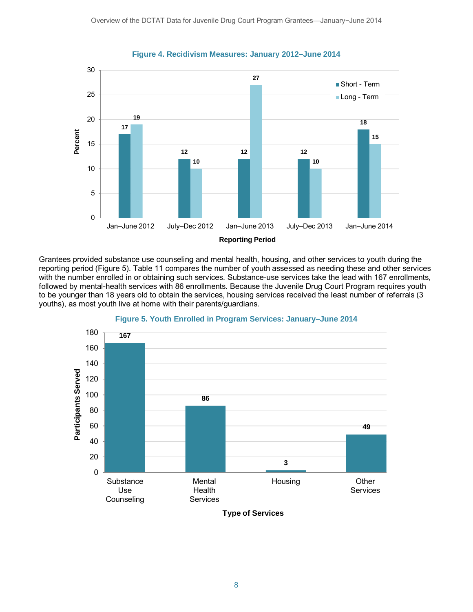

**Figure 4. Recidivism Measures: January 2012–June 2014**

Grantees provided substance use counseling and mental health, housing, and other services to youth during the reporting period (Figure 5). Table 11 compares the number of youth assessed as needing these and other services with the number enrolled in or obtaining such services. Substance-use services take the lead with 167 enrollments, followed by mental-health services with 86 enrollments. Because the Juvenile Drug Court Program requires youth to be younger than 18 years old to obtain the services, housing services received the least number of referrals (3 youths), as most youth live at home with their parents/guardians.



### **Figure 5. Youth Enrolled in Program Services: January–June 2014**

**Type of Services**